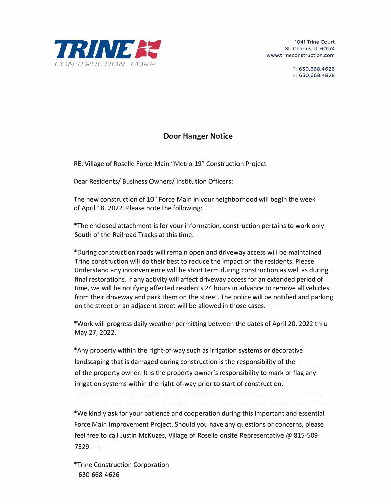

1041 Trine Court St. Charles, IL 60174 www.trineconstruction.com

> P: 630.668.4626 F: 630.668.4828

## **Door Hanger Notice**

RE: Village of Roselle Force Main "Metro 19" Construction Project

Dear Residents/ Business Owners/ Institution Officers:

The new construction of 10" Force Main in your neighborhood will begin the week of April 18, 2022. Please note the following:

\*The enclosed attachment is for your information, construction pertains to work only South of the Railroad Tracks at this time.

\*During construction roads will remain open and driveway access will be maintained Trine construction will do their best to reduce the impact on the residents. Please Understand any inconvenience will be short term during construction as well as during final restorations. If any activity will affect driveway access for an extended period of time, we will be notifying affected residents 24 hours in advance to remove all vehicles from their driveway and park them on the street. The police will be notified and parking on the street or an adjacent street will be allowed in those cases.

\*Work will progress daily weather permitting between the dates of April 20, 2022 thru May 27, 2022.

\*Any property within the right-of-way such as irrigation systems or decorative landscaping that is damaged during construction is the responsibility of the of the property owner. It is the property owner's responsibility to mark or flag any irrigation systems within the right-of-way prior to start of construction.

\*We kindly ask for your patience and cooperation during this important and essential Force Main Improvement Project. Should you have any questions or concerns, please feel free to call Justin McKuzes, Village of Roselle onsite Representative @ 815-509- 7529.

\*Trine Construction Corporation 630-668-4626